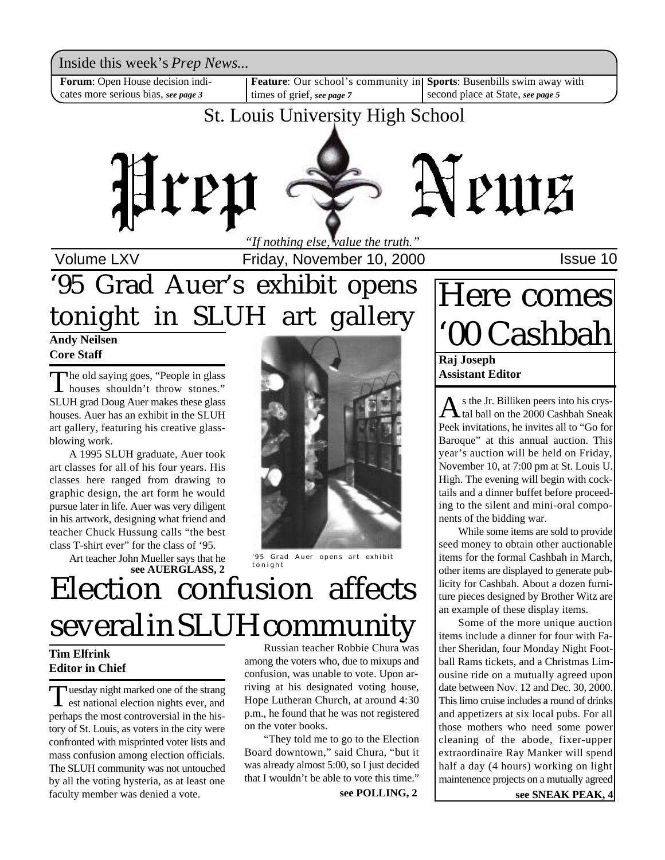Inside this week's *Prep News*...

**Forum**: Open House decision indicates more serious bias, *see page 3*

times of grief, *see page 7*

**Feature**: Our school's community in **Sports**: Busenbills swim away with second place at State, *see page 5*

### St. Louis University High School



Volume LXV **Interpreter 10, 2000** Friday, November 10, 2000

## '95 Grad Auer's exhibit opens tonight in SLUH art gallery

**Andy Neilsen Core Staff**

The old saying goes, "People in glass"<br>houses shouldn't throw stones." houses shouldn't throw stones." SLUH grad Doug Auer makes these glass houses. Auer has an exhibit in the SLUH art gallery, featuring his creative glassblowing work.

A 1995 SLUH graduate, Auer took art classes for all of his four years. His classes here ranged from drawing to graphic design, the art form he would pursue later in life. Auer was very diligent in his artwork, designing what friend and teacher Chuck Hussung calls "the best class T-shirt ever" for the class of '95.

> Art teacher John Mueller says that he **see AUERGLASS, 2**



'95 Grad Auer opens art exhibit tonight

## Election confusion affects several in SLUH community

#### **Tim Elfrink Editor in Chief**

Tuesday night marked one of the strang<br>est national election nights ever, and uesday night marked one of the strang perhaps the most controversial in the history of St. Louis, as voters in the city were confronted with misprinted voter lists and mass confusion among election officials. The SLUH community was not untouched by all the voting hysteria, as at least one faculty member was denied a vote.

Russian teacher Robbie Chura was among the voters who, due to mixups and confusion, was unable to vote. Upon arriving at his designated voting house, Hope Lutheran Church, at around 4:30 p.m., he found that he was not registered on the voter books.

"They told me to go to the Election Board downtown," said Chura, "but it was already almost 5:00, so I just decided that I wouldn't be able to vote this time."

**see POLLING, 2**

# Here comes '00 Cashbah

**Raj Joseph Assistant Editor**

A s the Jr. Billiken peers into his crys-<br>A tal ball on the 2000 Cashbah Sneak s the Jr. Billiken peers into his crys-Peek invitations, he invites all to "Go for Baroque" at this annual auction. This year's auction will be held on Friday, November 10, at 7:00 pm at St. Louis U. High. The evening will begin with cocktails and a dinner buffet before proceeding to the silent and mini-oral components of the bidding war.

While some items are sold to provide seed money to obtain other auctionable items for the formal Cashbah in March, other items are displayed to generate publicity for Cashbah. About a dozen furniture pieces designed by Brother Witz are an example of these display items.

Some of the more unique auction items include a dinner for four with Father Sheridan, four Monday Night Football Rams tickets, and a Christmas Limousine ride on a mutually agreed upon date between Nov. 12 and Dec. 30, 2000. This limo cruise includes a round of drinks and appetizers at six local pubs. For all those mothers who need some power cleaning of the abode, fixer-upper extraordinaire Ray Manker will spend half a day (4 hours) working on light maintenence projects on a mutually agreed

**see SNEAK PEAK, 4**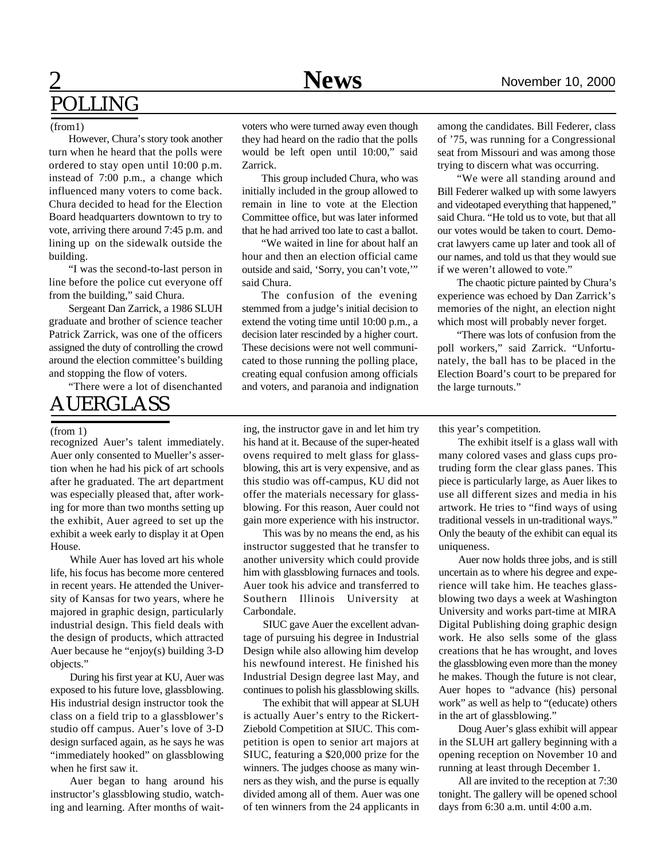## **News** November 10, 2000 POLLING

#### (from1)

However, Chura's story took another turn when he heard that the polls were ordered to stay open until 10:00 p.m. instead of 7:00 p.m., a change which influenced many voters to come back. Chura decided to head for the Election Board headquarters downtown to try to vote, arriving there around 7:45 p.m. and lining up on the sidewalk outside the building.

"I was the second-to-last person in line before the police cut everyone off from the building," said Chura.

Sergeant Dan Zarrick, a 1986 SLUH graduate and brother of science teacher Patrick Zarrick, was one of the officers assigned the duty of controlling the crowd around the election committee's building and stopping the flow of voters.

"There were a lot of disenchanted

### AUERGLASS

#### (from 1)

recognized Auer's talent immediately. Auer only consented to Mueller's assertion when he had his pick of art schools after he graduated. The art department was especially pleased that, after working for more than two months setting up the exhibit, Auer agreed to set up the exhibit a week early to display it at Open House.

While Auer has loved art his whole life, his focus has become more centered in recent years. He attended the University of Kansas for two years, where he majored in graphic design, particularly industrial design. This field deals with the design of products, which attracted Auer because he "enjoy(s) building 3-D objects."

During his first year at KU, Auer was exposed to his future love, glassblowing. His industrial design instructor took the class on a field trip to a glassblower's studio off campus. Auer's love of 3-D design surfaced again, as he says he was "immediately hooked" on glassblowing when he first saw it.

Auer began to hang around his instructor's glassblowing studio, watching and learning. After months of waitvoters who were turned away even though they had heard on the radio that the polls would be left open until 10:00," said Zarrick.

This group included Chura, who was initially included in the group allowed to remain in line to vote at the Election Committee office, but was later informed that he had arrived too late to cast a ballot.

"We waited in line for about half an hour and then an election official came outside and said, 'Sorry, you can't vote,'" said Chura.

The confusion of the evening stemmed from a judge's initial decision to extend the voting time until 10:00 p.m., a decision later rescinded by a higher court. These decisions were not well communicated to those running the polling place, creating equal confusion among officials and voters, and paranoia and indignation among the candidates. Bill Federer, class of '75, was running for a Congressional seat from Missouri and was among those trying to discern what was occurring.

"We were all standing around and Bill Federer walked up with some lawyers and videotaped everything that happened," said Chura. "He told us to vote, but that all our votes would be taken to court. Democrat lawyers came up later and took all of our names, and told us that they would sue if we weren't allowed to vote."

The chaotic picture painted by Chura's experience was echoed by Dan Zarrick's memories of the night, an election night which most will probably never forget.

"There was lots of confusion from the poll workers," said Zarrick. "Unfortunately, the ball has to be placed in the Election Board's court to be prepared for the large turnouts."

this year's competition.

The exhibit itself is a glass wall with many colored vases and glass cups protruding form the clear glass panes. This piece is particularly large, as Auer likes to use all different sizes and media in his artwork. He tries to "find ways of using traditional vessels in un-traditional ways." Only the beauty of the exhibit can equal its uniqueness.

Auer now holds three jobs, and is still uncertain as to where his degree and experience will take him. He teaches glassblowing two days a week at Washington University and works part-time at MIRA Digital Publishing doing graphic design work. He also sells some of the glass creations that he has wrought, and loves the glassblowing even more than the money he makes. Though the future is not clear, Auer hopes to "advance (his) personal work" as well as help to "(educate) others in the art of glassblowing."

Doug Auer's glass exhibit will appear in the SLUH art gallery beginning with a opening reception on November 10 and running at least through December 1.

All are invited to the reception at 7:30 tonight. The gallery will be opened school days from 6:30 a.m. until 4:00 a.m.

ing, the instructor gave in and let him try his hand at it. Because of the super-heated ovens required to melt glass for glassblowing, this art is very expensive, and as this studio was off-campus, KU did not offer the materials necessary for glassblowing. For this reason, Auer could not gain more experience with his instructor.

This was by no means the end, as his instructor suggested that he transfer to another university which could provide him with glassblowing furnaces and tools. Auer took his advice and transferred to Southern Illinois University Carbondale.

SIUC gave Auer the excellent advantage of pursuing his degree in Industrial Design while also allowing him develop his newfound interest. He finished his Industrial Design degree last May, and continues to polish his glassblowing skills.

The exhibit that will appear at SLUH is actually Auer's entry to the Rickert-Ziebold Competition at SIUC. This competition is open to senior art majors at SIUC, featuring a \$20,000 prize for the winners. The judges choose as many winners as they wish, and the purse is equally divided among all of them. Auer was one of ten winners from the 24 applicants in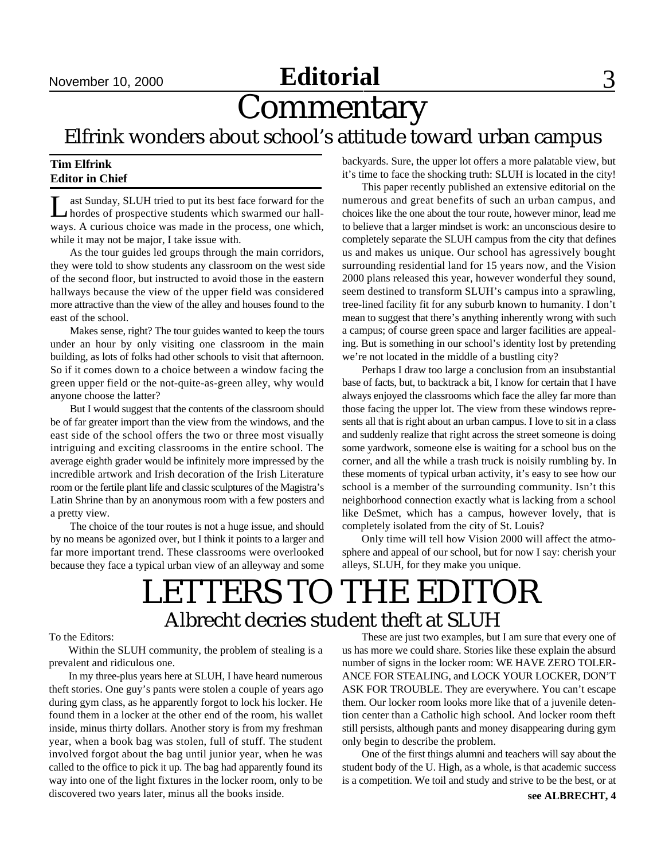## November 10, 2000 **Editorial** 3

## **Commentary**

Elfrink wonders about school's attitude toward urban campus

#### **Tim Elfrink Editor in Chief**

Last Sunday, SLUH tried to put its best face forward for the hordes of prospective students which swarmed our hallast Sunday, SLUH tried to put its best face forward for the ways. A curious choice was made in the process, one which, while it may not be major, I take issue with.

As the tour guides led groups through the main corridors, they were told to show students any classroom on the west side of the second floor, but instructed to avoid those in the eastern hallways because the view of the upper field was considered more attractive than the view of the alley and houses found to the east of the school.

Makes sense, right? The tour guides wanted to keep the tours under an hour by only visiting one classroom in the main building, as lots of folks had other schools to visit that afternoon. So if it comes down to a choice between a window facing the green upper field or the not-quite-as-green alley, why would anyone choose the latter?

But I would suggest that the contents of the classroom should be of far greater import than the view from the windows, and the east side of the school offers the two or three most visually intriguing and exciting classrooms in the entire school. The average eighth grader would be infinitely more impressed by the incredible artwork and Irish decoration of the Irish Literature room or the fertile plant life and classic sculptures of the Magistra's Latin Shrine than by an anonymous room with a few posters and a pretty view.

The choice of the tour routes is not a huge issue, and should by no means be agonized over, but I think it points to a larger and far more important trend. These classrooms were overlooked because they face a typical urban view of an alleyway and some backyards. Sure, the upper lot offers a more palatable view, but it's time to face the shocking truth: SLUH is located in the city!

This paper recently published an extensive editorial on the numerous and great benefits of such an urban campus, and choices like the one about the tour route, however minor, lead me to believe that a larger mindset is work: an unconscious desire to completely separate the SLUH campus from the city that defines us and makes us unique. Our school has agressively bought surrounding residential land for 15 years now, and the Vision 2000 plans released this year, however wonderful they sound, seem destined to transform SLUH's campus into a sprawling, tree-lined facility fit for any suburb known to humanity. I don't mean to suggest that there's anything inherently wrong with such a campus; of course green space and larger facilities are appealing. But is something in our school's identity lost by pretending we're not located in the middle of a bustling city?

Perhaps I draw too large a conclusion from an insubstantial base of facts, but, to backtrack a bit, I know for certain that I have always enjoyed the classrooms which face the alley far more than those facing the upper lot. The view from these windows represents all that is right about an urban campus. I love to sit in a class and suddenly realize that right across the street someone is doing some yardwork, someone else is waiting for a school bus on the corner, and all the while a trash truck is noisily rumbling by. In these moments of typical urban activity, it's easy to see how our school is a member of the surrounding community. Isn't this neighborhood connection exactly what is lacking from a school like DeSmet, which has a campus, however lovely, that is completely isolated from the city of St. Louis?

Only time will tell how Vision 2000 will affect the atmosphere and appeal of our school, but for now I say: cherish your alleys, SLUH, for they make you unique.

## LETTERS TO THE EDITOR Albrecht decries student theft at SLUH

#### To the Editors:

Within the SLUH community, the problem of stealing is a prevalent and ridiculous one.

In my three-plus years here at SLUH, I have heard numerous theft stories. One guy's pants were stolen a couple of years ago during gym class, as he apparently forgot to lock his locker. He found them in a locker at the other end of the room, his wallet inside, minus thirty dollars. Another story is from my freshman year, when a book bag was stolen, full of stuff. The student involved forgot about the bag until junior year, when he was called to the office to pick it up. The bag had apparently found its way into one of the light fixtures in the locker room, only to be discovered two years later, minus all the books inside.

These are just two examples, but I am sure that every one of us has more we could share. Stories like these explain the absurd number of signs in the locker room: WE HAVE ZERO TOLER-ANCE FOR STEALING, and LOCK YOUR LOCKER, DON'T ASK FOR TROUBLE. They are everywhere. You can't escape them. Our locker room looks more like that of a juvenile detention center than a Catholic high school. And locker room theft still persists, although pants and money disappearing during gym only begin to describe the problem.

One of the first things alumni and teachers will say about the student body of the U. High, as a whole, is that academic success is a competition. We toil and study and strive to be the best, or at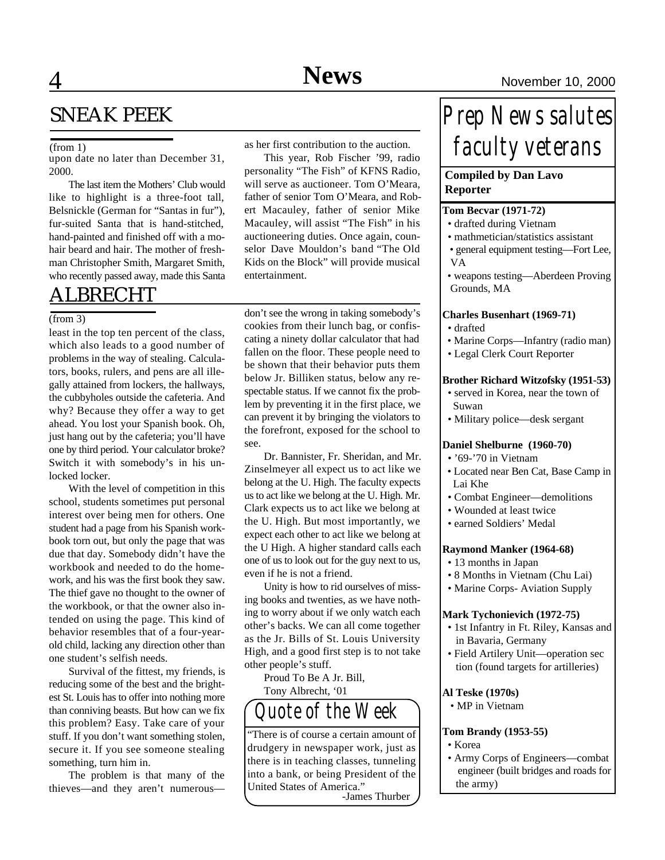### SNEAK PEEK

#### (from 1)

upon date no later than December 31, 2000.

The last item the Mothers' Club would like to highlight is a three-foot tall, Belsnickle (German for "Santas in fur"), fur-suited Santa that is hand-stitched, hand-painted and finished off with a mohair beard and hair. The mother of freshman Christopher Smith, Margaret Smith, who recently passed away, made this Santa

### ALBRECHT

#### (from 3)

least in the top ten percent of the class, which also leads to a good number of problems in the way of stealing. Calculators, books, rulers, and pens are all illegally attained from lockers, the hallways, the cubbyholes outside the cafeteria. And why? Because they offer a way to get ahead. You lost your Spanish book. Oh, just hang out by the cafeteria; you'll have one by third period. Your calculator broke? Switch it with somebody's in his unlocked locker.

With the level of competition in this school, students sometimes put personal interest over being men for others. One student had a page from his Spanish workbook torn out, but only the page that was due that day. Somebody didn't have the workbook and needed to do the homework, and his was the first book they saw. The thief gave no thought to the owner of the workbook, or that the owner also intended on using the page. This kind of behavior resembles that of a four-yearold child, lacking any direction other than one student's selfish needs.

Survival of the fittest, my friends, is reducing some of the best and the brightest St. Louis has to offer into nothing more than conniving beasts. But how can we fix this problem? Easy. Take care of your stuff. If you don't want something stolen, secure it. If you see someone stealing something, turn him in.

The problem is that many of the thieves—and they aren't numerousas her first contribution to the auction.

This year, Rob Fischer '99, radio personality "The Fish" of KFNS Radio, will serve as auctioneer. Tom O'Meara, father of senior Tom O'Meara, and Robert Macauley, father of senior Mike Macauley, will assist "The Fish" in his auctioneering duties. Once again, counselor Dave Mouldon's band "The Old Kids on the Block" will provide musical entertainment.

don't see the wrong in taking somebody's cookies from their lunch bag, or confiscating a ninety dollar calculator that had fallen on the floor. These people need to be shown that their behavior puts them below Jr. Billiken status, below any respectable status. If we cannot fix the problem by preventing it in the first place, we can prevent it by bringing the violators to the forefront, exposed for the school to see.

Dr. Bannister, Fr. Sheridan, and Mr. Zinselmeyer all expect us to act like we belong at the U. High. The faculty expects us to act like we belong at the U. High. Mr. Clark expects us to act like we belong at the U. High. But most importantly, we expect each other to act like we belong at the U High. A higher standard calls each one of us to look out for the guy next to us, even if he is not a friend.

Unity is how to rid ourselves of missing books and twenties, as we have nothing to worry about if we only watch each other's backs. We can all come together as the Jr. Bills of St. Louis University High, and a good first step is to not take other people's stuff.

Proud To Be A Jr. Bill, Tony Albrecht, '01



"There is of course a certain amount of drudgery in newspaper work, just as there is in teaching classes, tunneling into a bank, or being President of the United States of America." -James Thurber

## *Prep News salutes faculty veterans*

#### **Compiled by Dan Lavo Reporter**

#### **Tom Becvar (1971-72)**

- drafted during Vietnam
- mathmetician/statistics assistant
- general equipment testing—Fort Lee, VA
- weapons testing—Aberdeen Proving Grounds, MA

#### **Charles Busenhart (1969-71)**

- drafted
- Marine Corps—Infantry (radio man)
- Legal Clerk Court Reporter

#### **Brother Richard Witzofsky (1951-53)**

- served in Korea, near the town of Suwan
- Military police—desk sergant

#### **Daniel Shelburne (1960-70)**

- '69-'70 in Vietnam
- Located near Ben Cat, Base Camp in Lai Khe
- Combat Engineer—demolitions
- Wounded at least twice
- earned Soldiers' Medal

#### **Raymond Manker (1964-68)**

- 13 months in Japan
- 8 Months in Vietnam (Chu Lai)
- Marine Corps- Aviation Supply

#### **Mark Tychonievich (1972-75)**

- 1st Infantry in Ft. Riley, Kansas and in Bavaria, Germany
- Field Artilery Unit—operation sec tion (found targets for artilleries)

#### **Al Teske (1970s)**

• MP in Vietnam

#### **Tom Brandy (1953-55)**

- Korea
- Army Corps of Engineers—combat engineer (built bridges and roads for the army)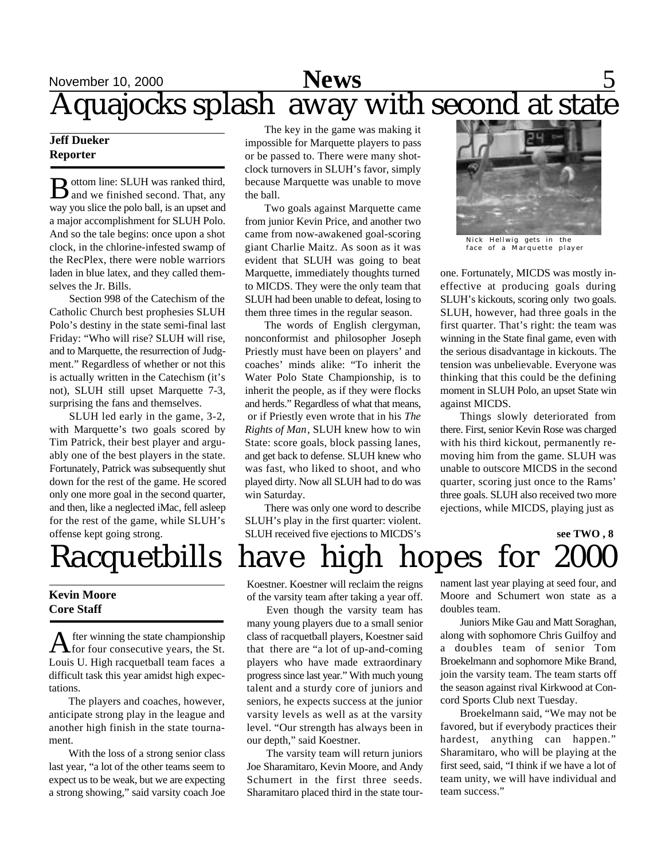## November 10, 2000 **News** 5 Aquajocks splash away with second at state

#### **Jeff Dueker Reporter**

 $\bf B$  ottom line: SLUH was ranked third,<br>and we finished second. That, any ottom line: SLUH was ranked third, way you slice the polo ball, is an upset and a major accomplishment for SLUH Polo. And so the tale begins: once upon a shot clock, in the chlorine-infested swamp of the RecPlex, there were noble warriors laden in blue latex, and they called themselves the Jr. Bills.

Section 998 of the Catechism of the Catholic Church best prophesies SLUH Polo's destiny in the state semi-final last Friday: "Who will rise? SLUH will rise, and to Marquette, the resurrection of Judgment." Regardless of whether or not this is actually written in the Catechism (it's not), SLUH still upset Marquette 7-3, surprising the fans and themselves.

SLUH led early in the game, 3-2, with Marquette's two goals scored by Tim Patrick, their best player and arguably one of the best players in the state. Fortunately, Patrick was subsequently shut down for the rest of the game. He scored only one more goal in the second quarter, and then, like a neglected iMac, fell asleep for the rest of the game, while SLUH's offense kept going strong.

#### **Kevin Moore Core Staff**

A fter winning the state championship<br>for four consecutive years, the St. fter winning the state championship Louis U. High racquetball team faces a difficult task this year amidst high expectations.

The players and coaches, however, anticipate strong play in the league and another high finish in the state tournament.

With the loss of a strong senior class last year, "a lot of the other teams seem to expect us to be weak, but we are expecting a strong showing," said varsity coach Joe

The key in the game was making it impossible for Marquette players to pass or be passed to. There were many shotclock turnovers in SLUH's favor, simply because Marquette was unable to move the ball.

Two goals against Marquette came from junior Kevin Price, and another two came from now-awakened goal-scoring giant Charlie Maitz. As soon as it was evident that SLUH was going to beat Marquette, immediately thoughts turned to MICDS. They were the only team that SLUH had been unable to defeat, losing to them three times in the regular season.

The words of English clergyman, nonconformist and philosopher Joseph Priestly must have been on players' and coaches' minds alike: "To inherit the Water Polo State Championship, is to inherit the people, as if they were flocks and herds." Regardless of what that means, or if Priestly even wrote that in his *The Rights of Man*, SLUH knew how to win State: score goals, block passing lanes, and get back to defense. SLUH knew who was fast, who liked to shoot, and who played dirty. Now all SLUH had to do was win Saturday.

There was only one word to describe SLUH's play in the first quarter: violent. SLUH received five ejections to MICDS's



Nick Hellwig gets in the face of a Marquette player

one. Fortunately, MICDS was mostly ineffective at producing goals during SLUH's kickouts, scoring only two goals. SLUH, however, had three goals in the first quarter. That's right: the team was winning in the State final game, even with the serious disadvantage in kickouts. The tension was unbelievable. Everyone was thinking that this could be the defining moment in SLUH Polo, an upset State win against MICDS.

Things slowly deteriorated from there. First, senior Kevin Rose was charged with his third kickout, permanently removing him from the game. SLUH was unable to outscore MICDS in the second quarter, scoring just once to the Rams' three goals. SLUH also received two more ejections, while MICDS, playing just as

**see TWO , 8**

# Racquetbills have high hopes for 2000

Koestner. Koestner will reclaim the reigns of the varsity team after taking a year off.

Even though the varsity team has many young players due to a small senior class of racquetball players, Koestner said that there are "a lot of up-and-coming players who have made extraordinary progress since last year." With much young talent and a sturdy core of juniors and seniors, he expects success at the junior varsity levels as well as at the varsity level. "Our strength has always been in our depth," said Koestner.

The varsity team will return juniors Joe Sharamitaro, Kevin Moore, and Andy Schumert in the first three seeds. Sharamitaro placed third in the state tournament last year playing at seed four, and Moore and Schumert won state as a doubles team.

Juniors Mike Gau and Matt Soraghan, along with sophomore Chris Guilfoy and a doubles team of senior Tom Broekelmann and sophomore Mike Brand, join the varsity team. The team starts off the season against rival Kirkwood at Concord Sports Club next Tuesday.

Broekelmann said, "We may not be favored, but if everybody practices their hardest, anything can happen." Sharamitaro, who will be playing at the first seed, said, "I think if we have a lot of team unity, we will have individual and team success."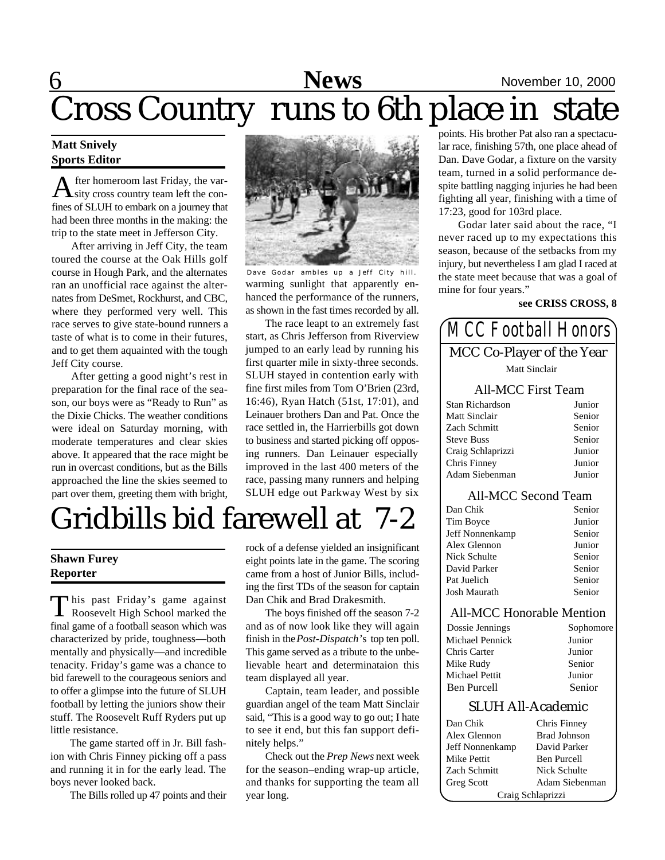## **6** News November 10, 2000 Cross Country runs to 6th place in state

#### **Matt Snively Sports Editor**

A fter homeroom last Friday, the var-<br>sity cross country team left the confter homeroom last Friday, the varfines of SLUH to embark on a journey that had been three months in the making: the trip to the state meet in Jefferson City.

After arriving in Jeff City, the team toured the course at the Oak Hills golf course in Hough Park, and the alternates ran an unofficial race against the alternates from DeSmet, Rockhurst, and CBC, where they performed very well. This race serves to give state-bound runners a taste of what is to come in their futures, and to get them aquainted with the tough Jeff City course.

After getting a good night's rest in preparation for the final race of the season, our boys were as "Ready to Run" as the Dixie Chicks. The weather conditions were ideal on Saturday morning, with moderate temperatures and clear skies above. It appeared that the race might be run in overcast conditions, but as the Bills approached the line the skies seemed to part over them, greeting them with bright,



warming sunlight that apparently enhanced the performance of the runners, as shown in the fast times recorded by all. Dave Godar ambles up a Jeff City hill.

The race leapt to an extremely fast start, as Chris Jefferson from Riverview jumped to an early lead by running his first quarter mile in sixty-three seconds. SLUH stayed in contention early with fine first miles from Tom O'Brien (23rd, 16:46), Ryan Hatch (51st, 17:01), and Leinauer brothers Dan and Pat. Once the race settled in, the Harrierbills got down to business and started picking off opposing runners. Dan Leinauer especially improved in the last 400 meters of the race, passing many runners and helping SLUH edge out Parkway West by six

## Gridbills bid farewell at 7-2

#### **Shawn Furey Reporter**

This past Friday's game against<br>Roosevelt High School marked the This past Friday's game against final game of a football season which was characterized by pride, toughness—both mentally and physically—and incredible tenacity. Friday's game was a chance to bid farewell to the courageous seniors and to offer a glimpse into the future of SLUH football by letting the juniors show their stuff. The Roosevelt Ruff Ryders put up little resistance.

The game started off in Jr. Bill fashion with Chris Finney picking off a pass and running it in for the early lead. The boys never looked back.

The Bills rolled up 47 points and their

rock of a defense yielded an insignificant eight points late in the game. The scoring came from a host of Junior Bills, including the first TDs of the season for captain Dan Chik and Brad Drakesmith.

The boys finished off the season 7-2 and as of now look like they will again finish in the *Post-Dispatch'*s top ten poll. This game served as a tribute to the unbelievable heart and determinataion this team displayed all year.

Captain, team leader, and possible guardian angel of the team Matt Sinclair said, "This is a good way to go out; I hate to see it end, but this fan support definitely helps."

Check out the *Prep News* next week for the season–ending wrap-up article, and thanks for supporting the team all year long.

points. His brother Pat also ran a spectacular race, finishing 57th, one place ahead of Dan. Dave Godar, a fixture on the varsity team, turned in a solid performance despite battling nagging injuries he had been fighting all year, finishing with a time of 17:23, good for 103rd place.

Godar later said about the race, "I never raced up to my expectations this season, because of the setbacks from my injury, but nevertheless I am glad I raced at the state meet because that was a goal of mine for four years."

#### **see CRISS CROSS, 8**

#### *MCC Football Honors* MCC Co-Player of the Year Matt Sinclair All-MCC First Team Stan Richardson Junior Matt Sinclair Senior Zach Schmitt Senior Steve Buss Senior Craig Schlaprizzi Junior Chris Finney Junior Adam Siebenman Junior All-MCC Second Team Dan Chik Senior Tim Boyce Junior Jeff Nonnenkamp Senior Alex Glennon Junior Nick Schulte Senior David Parker Senior Pat Juelich Senior Josh Maurath Senior All-MCC Honorable Mention Dossie Jennings Sophomore

| Sophomore |
|-----------|
| Junior    |
| Junior    |
| Senior    |
| Junior    |
| Senior    |
|           |

#### SLUH All-Academic

| Dan Chik          | Chris Finney        |
|-------------------|---------------------|
| Alex Glennon      | <b>Brad Johnson</b> |
| Jeff Nonnenkamp   | David Parker        |
| Mike Pettit       | <b>Ben Purcell</b>  |
| Zach Schmitt      | Nick Schulte        |
| Greg Scott        | Adam Siebenman      |
| Craig Schlaprizzi |                     |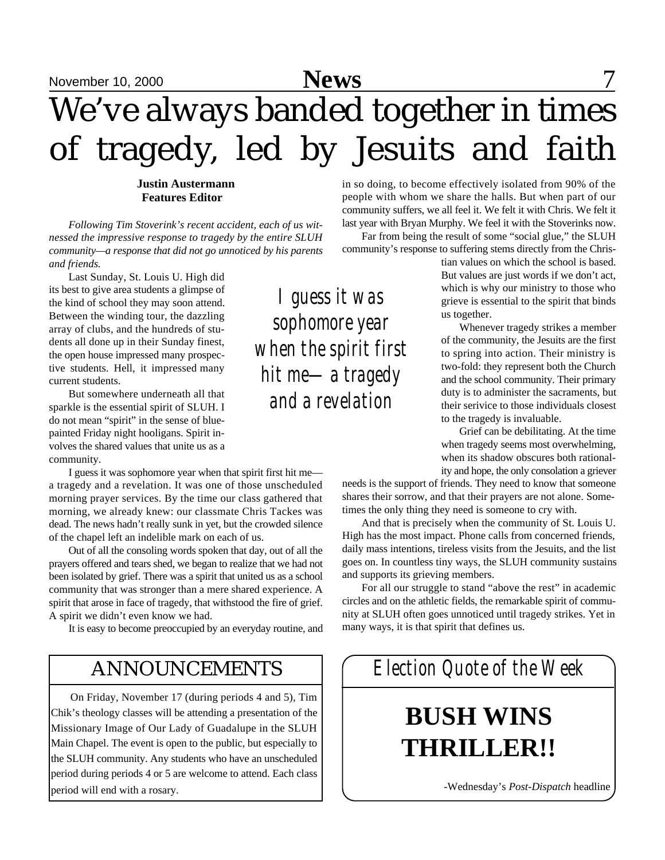## November 10, 2000 **News** 7 We've always banded together in times of tragedy, led by Jesuits and faith

**Justin Austermann Features Editor**

*Following Tim Stoverink's recent accident, each of us witnessed the impressive response to tragedy by the entire SLUH community—a response that did not go unnoticed by his parents and friends.*

Last Sunday, St. Louis U. High did its best to give area students a glimpse of the kind of school they may soon attend. Between the winding tour, the dazzling array of clubs, and the hundreds of students all done up in their Sunday finest, the open house impressed many prospective students. Hell, it impressed many current students.

But somewhere underneath all that sparkle is the essential spirit of SLUH. I do not mean "spirit" in the sense of bluepainted Friday night hooligans. Spirit involves the shared values that unite us as a community.

I guess it was sophomore year when that spirit first hit me a tragedy and a revelation. It was one of those unscheduled morning prayer services. By the time our class gathered that morning, we already knew: our classmate Chris Tackes was dead. The news hadn't really sunk in yet, but the crowded silence of the chapel left an indelible mark on each of us.

Out of all the consoling words spoken that day, out of all the prayers offered and tears shed, we began to realize that we had not been isolated by grief. There was a spirit that united us as a school community that was stronger than a mere shared experience. A spirit that arose in face of tragedy, that withstood the fire of grief. A spirit we didn't even know we had.

It is easy to become preoccupied by an everyday routine, and

### ANNOUNCEMENTS

On Friday, November 17 (during periods 4 and 5), Tim Chik's theology classes will be attending a presentation of the Missionary Image of Our Lady of Guadalupe in the SLUH Main Chapel. The event is open to the public, but especially to the SLUH community. Any students who have an unscheduled period during periods 4 or 5 are welcome to attend. Each class period will end with a rosary.

*I guess it was sophomore year when the spirit first hit me—a tragedy and a revelation*

in so doing, to become effectively isolated from 90% of the people with whom we share the halls. But when part of our community suffers, we all feel it. We felt it with Chris. We felt it last year with Bryan Murphy. We feel it with the Stoverinks now.

Far from being the result of some "social glue," the SLUH community's response to suffering stems directly from the Chris-

> tian values on which the school is based. But values are just words if we don't act, which is why our ministry to those who grieve is essential to the spirit that binds us together.

> Whenever tragedy strikes a member of the community, the Jesuits are the first to spring into action. Their ministry is two-fold: they represent both the Church and the school community. Their primary duty is to administer the sacraments, but their serivice to those individuals closest to the tragedy is invaluable.

> Grief can be debilitating. At the time when tragedy seems most overwhelming, when its shadow obscures both rationality and hope, the only consolation a griever

needs is the support of friends. They need to know that someone shares their sorrow, and that their prayers are not alone. Sometimes the only thing they need is someone to cry with.

And that is precisely when the community of St. Louis U. High has the most impact. Phone calls from concerned friends, daily mass intentions, tireless visits from the Jesuits, and the list goes on. In countless tiny ways, the SLUH community sustains and supports its grieving members.

For all our struggle to stand "above the rest" in academic circles and on the athletic fields, the remarkable spirit of community at SLUH often goes unnoticed until tragedy strikes. Yet in many ways, it is that spirit that defines us.

## *Election Quote of the Week*

## **BUSH WINS THRILLER!!**

-Wednesday's *Post-Dispatch* headline